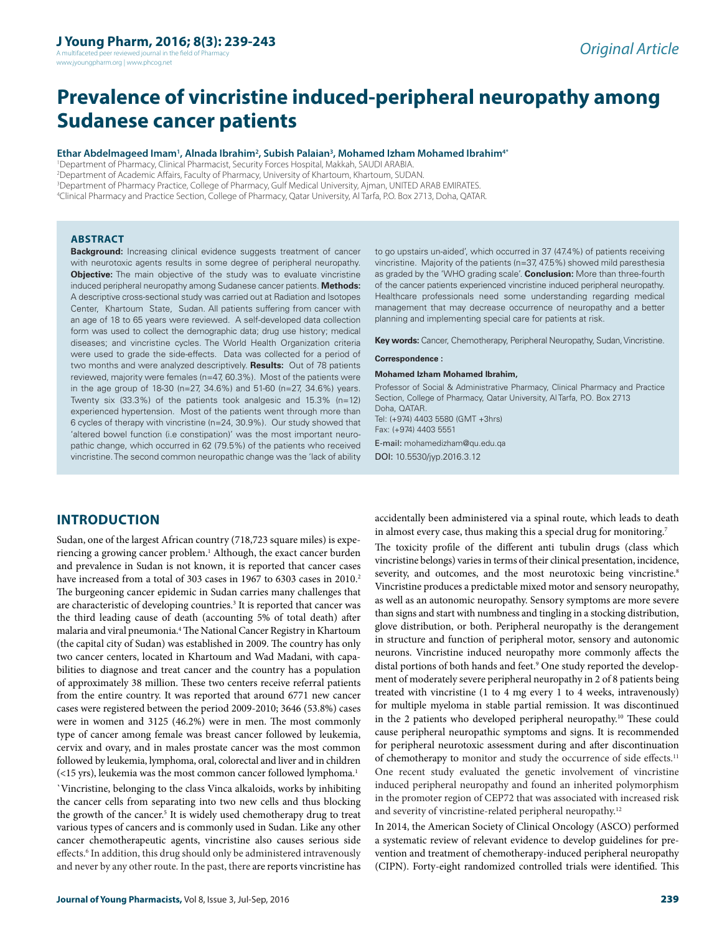A multifaceted peer reviewed journal in the field of Phar www.jyoungpharm.org | www.phcog.net

# **Prevalence of vincristine induced-peripheral neuropathy among Sudanese cancer patients**

#### **Ethar Abdelmageed Imam<sup>1</sup> , Alnada Ibrahim<sup>2</sup> , Subish Palaian<sup>3</sup> , Mohamed Izham Mohamed Ibrahim4\***

<sup>1</sup>Department of Pharmacy, Clinical Pharmacist, Security Forces Hospital, Makkah, SAUDI ARABIA.

<sup>2</sup>Department of Academic Affairs, Faculty of Pharmacy, University of Khartoum, Khartoum, SUDAN.

<sup>3</sup>Department of Pharmacy Practice, College of Pharmacy, Gulf Medical University, Ajman, UNITED ARAB EMIRATES.

<sup>4</sup>Clinical Pharmacy and Practice Section, College of Pharmacy, Qatar University, Al Tarfa, P.O. Box 2713, Doha, QATAR.

### **ABSTRACT**

**Background:** Increasing clinical evidence suggests treatment of cancer with neurotoxic agents results in some degree of peripheral neuropathy. **Objective:** The main objective of the study was to evaluate vincristine induced peripheral neuropathy among Sudanese cancer patients. **Methods:** A descriptive cross-sectional study was carried out at Radiation and Isotopes Center, Khartoum State, Sudan. All patients suffering from cancer with an age of 18 to 65 years were reviewed. A self-developed data collection form was used to collect the demographic data; drug use history; medical diseases; and vincristine cycles. The World Health Organization criteria were used to grade the side-effects. Data was collected for a period of two months and were analyzed descriptively. **Results:** Out of 78 patients reviewed, majority were females (n=47, 60.3%). Most of the patients were in the age group of 18-30 (n=27, 34.6%) and 51-60 (n=27, 34.6%) years. Twenty six (33.3%) of the patients took analgesic and 15.3% (n=12) experienced hypertension. Most of the patients went through more than 6 cycles of therapy with vincristine (n=24, 30.9%). Our study showed that 'altered bowel function (i.e constipation)' was the most important neuropathic change, which occurred in 62 (79.5%) of the patients who received vincristine. The second common neuropathic change was the 'lack of ability

to go upstairs un-aided', which occurred in 37 (47.4%) of patients receiving vincristine. Majority of the patients (n=37, 47.5%) showed mild paresthesia as graded by the 'WHO grading scale'. **Conclusion:** More than three-fourth of the cancer patients experienced vincristine induced peripheral neuropathy. Healthcare professionals need some understanding regarding medical management that may decrease occurrence of neuropathy and a better planning and implementing special care for patients at risk.

**Key words:** Cancer, Chemotherapy, Peripheral Neuropathy, Sudan, Vincristine.

#### **Correspondence :**

#### **Mohamed Izham Mohamed Ibrahim,**

Professor of Social & Administrative Pharmacy, Clinical Pharmacy and Practice Section, College of Pharmacy, Qatar University, Al Tarfa, P.O. Box 2713 Doha, QATAR. Tel: (+974) 4403 5580 (GMT +3hrs) Fax: (+974) 4403 5551 E-mail: mohamedizham@qu.edu.qa

DOI: 10.5530/jyp.2016.3.12

# **INTRODUCTION**

Sudan, one of the largest African country (718,723 square miles) is experiencing a growing cancer problem.<sup>1</sup> Although, the exact cancer burden and prevalence in Sudan is not known, it is reported that cancer cases have increased from a total of 303 cases in 1967 to 6303 cases in 2010.<sup>2</sup> The burgeoning cancer epidemic in Sudan carries many challenges that are characteristic of developing countries.<sup>3</sup> It is reported that cancer was the third leading cause of death (accounting 5% of total death) after malaria and viral pneumonia.<sup>4</sup> The National Cancer Registry in Khartoum (the capital city of Sudan) was established in 2009. The country has only two cancer centers, located in Khartoum and Wad Madani, with capabilities to diagnose and treat cancer and the country has a population of approximately 38 million. These two centers receive referral patients from the entire country. It was reported that around 6771 new cancer cases were registered between the period 2009-2010; 3646 (53.8%) cases were in women and 3125 (46.2%) were in men. The most commonly type of cancer among female was breast cancer followed by leukemia, cervix and ovary, and in males prostate cancer was the most common followed by leukemia, lymphoma, oral, colorectal and liver and in children  $\left($  <15 yrs), leukemia was the most common cancer followed lymphoma.<sup>1</sup>

`Vincristine, belonging to the class Vinca alkaloids, works by inhibiting the cancer cells from separating into two new cells and thus blocking the growth of the cancer.<sup>5</sup> It is widely used chemotherapy drug to treat various types of cancers and is commonly used in Sudan. Like any other cancer chemotherapeutic agents, vincristine also causes serious side effects.<sup>6</sup> In addition, this drug should only be administered intravenously and never by any other route. In the past, there are reports vincristine has

accidentally been administered via a spinal route, which leads to death in almost every case, thus making this a special drug for monitoring.<sup>7</sup> The toxicity profile of the different anti tubulin drugs (class which vincristine belongs) varies in terms of their clinical presentation, incidence, severity, and outcomes, and the most neurotoxic being vincristine.<sup>8</sup> Vincristine produces a predictable mixed motor and sensory neuropathy, as well as an autonomic neuropathy. Sensory symptoms are more severe than signs and start with numbness and tingling in a stocking distribution, glove distribution, or both. Peripheral neuropathy is the derangement in structure and function of peripheral motor, sensory and autonomic neurons. Vincristine induced neuropathy more commonly affects the distal portions of both hands and feet.<sup>9</sup> One study reported the development of moderately severe peripheral neuropathy in 2 of 8 patients being treated with vincristine (1 to 4 mg every 1 to 4 weeks, intravenously) for multiple myeloma in stable partial remission. It was discontinued in the 2 patients who developed peripheral neuropathy.<sup>10</sup> These could cause peripheral neuropathic symptoms and signs. It is recommended for peripheral neurotoxic assessment during and after discontinuation of chemotherapy to monitor and study the occurrence of side effects.<sup>11</sup> One recent study evaluated the genetic involvement of vincristine induced peripheral neuropathy and found an inherited polymorphism in the promoter region of CEP72 that was associated with increased risk and severity of vincristine-related peripheral neuropathy.<sup>12</sup>

In 2014, the American Society of Clinical Oncology (ASCO) performed a systematic review of relevant evidence to develop guidelines for prevention and treatment of chemotherapy-induced peripheral neuropathy (CIPN). Forty-eight randomized controlled trials were identified. This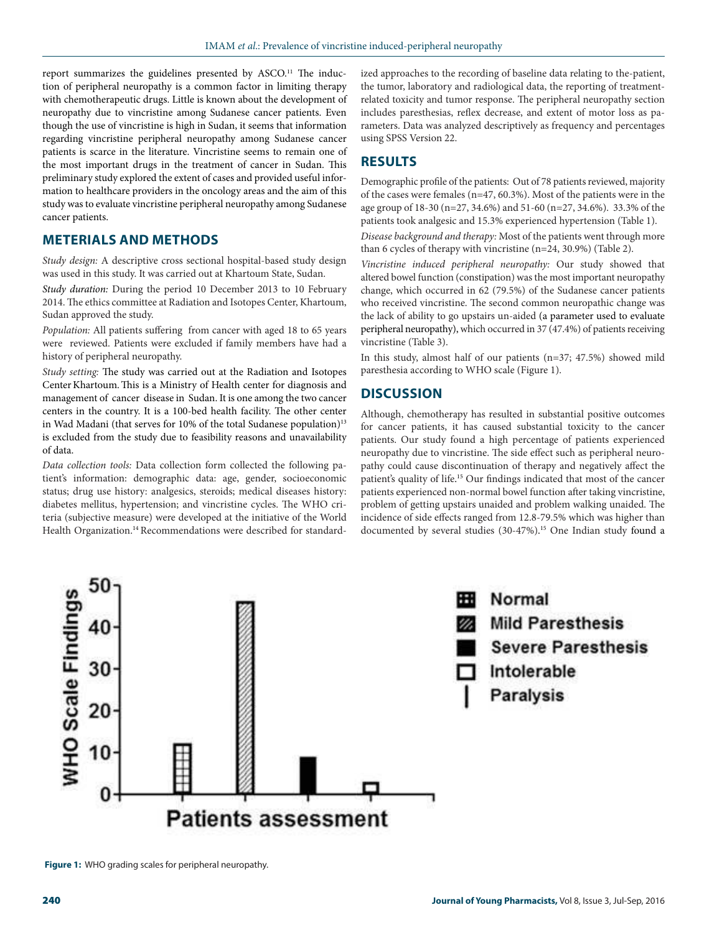report summarizes the guidelines presented by ASCO.<sup>11</sup> The induction of peripheral neuropathy is a common factor in limiting therapy with chemotherapeutic drugs. Little is known about the development of neuropathy due to vincristine among Sudanese cancer patients. Even though the use of vincristine is high in Sudan, it seems that information regarding vincristine peripheral neuropathy among Sudanese cancer patients is scarce in the literature. Vincristine seems to remain one of the most important drugs in the treatment of cancer in Sudan. This preliminary study explored the extent of cases and provided useful information to healthcare providers in the oncology areas and the aim of this study was to evaluate vincristine peripheral neuropathy among Sudanese cancer patients.

# **METERIALS AND METHODS**

Study design: A descriptive cross sectional hospital-based study design was used in this study. It was carried out at Khartoum State, Sudan.

Study duration: During the period 10 December 2013 to 10 February 2014. The ethics committee at Radiation and Isotopes Center, Khartoum, Sudan approved the study.

Population: All patients suffering from cancer with aged 18 to 65 years were reviewed. Patients were excluded if family members have had a history of peripheral neuropathy.

Study setting: The study was carried out at the Radiation and Isotopes Center Khartoum. This is a Ministry of Health center for diagnosis and management of cancer disease in Sudan. It is one among the two cancer centers in the country. It is a 100-bed health facility. The other center in Wad Madani (that serves for 10% of the total Sudanese population)<sup>13</sup> is excluded from the study due to feasibility reasons and unavailability of data.

Data collection tools: Data collection form collected the following patient's information: demographic data: age, gender, socioeconomic status; drug use history: analgesics, steroids; medical diseases history: diabetes mellitus, hypertension; and vincristine cycles. The WHO criteria (subjective measure) were developed at the initiative of the World Health Organization.<sup>14</sup> Recommendations were described for standardized approaches to the recording of baseline data relating to the-patient, the tumor, laboratory and radiological data, the reporting of treatmentrelated toxicity and tumor response. The peripheral neuropathy section includes paresthesias, reflex decrease, and extent of motor loss as parameters. Data was analyzed descriptively as frequency and percentages using SPSS Version 22.

# **RESULTS**

Demographic profile of the patients: Out of 78 patients reviewed, majority of the cases were females (n=47, 60.3%). Most of the patients were in the age group of 18-30 (n=27, 34.6%) and 51-60 (n=27, 34.6%). 33.3% of the patients took analgesic and 15.3% experienced hypertension (Table 1).

Disease background and therapy: Most of the patients went through more than 6 cycles of therapy with vincristine (n=24, 30.9%) (Table 2).

Vincristine induced peripheral neuropathy: Our study showed that altered bowel function (constipation) was the most important neuropathy change, which occurred in 62 (79.5%) of the Sudanese cancer patients who received vincristine. The second common neuropathic change was the lack of ability to go upstairs un-aided (a parameter used to evaluate peripheral neuropathy), which occurred in 37 (47.4%) of patients receiving vincristine (Table 3).

In this study, almost half of our patients  $(n=37; 47.5%)$  showed mild paresthesia according to WHO scale (Figure 1).

## **DISCUSSION**

Although, chemotherapy has resulted in substantial positive outcomes for cancer patients, it has caused substantial toxicity to the cancer patients. Our study found a high percentage of patients experienced neuropathy due to vincristine. The side effect such as peripheral neuropathy could cause discontinuation of therapy and negatively affect the patient's quality of life. <sup>15</sup> Our findings indicated that most of the cancer patients experienced non-normal bowel function after taking vincristine, problem of getting upstairs unaided and problem walking unaided. The incidence of side effects ranged from 12.8-79.5% which was higher than documented by several studies (30-47%). <sup>15</sup> One Indian study found a



**Figure 1:** WHO grading scales for peripheral neuropathy.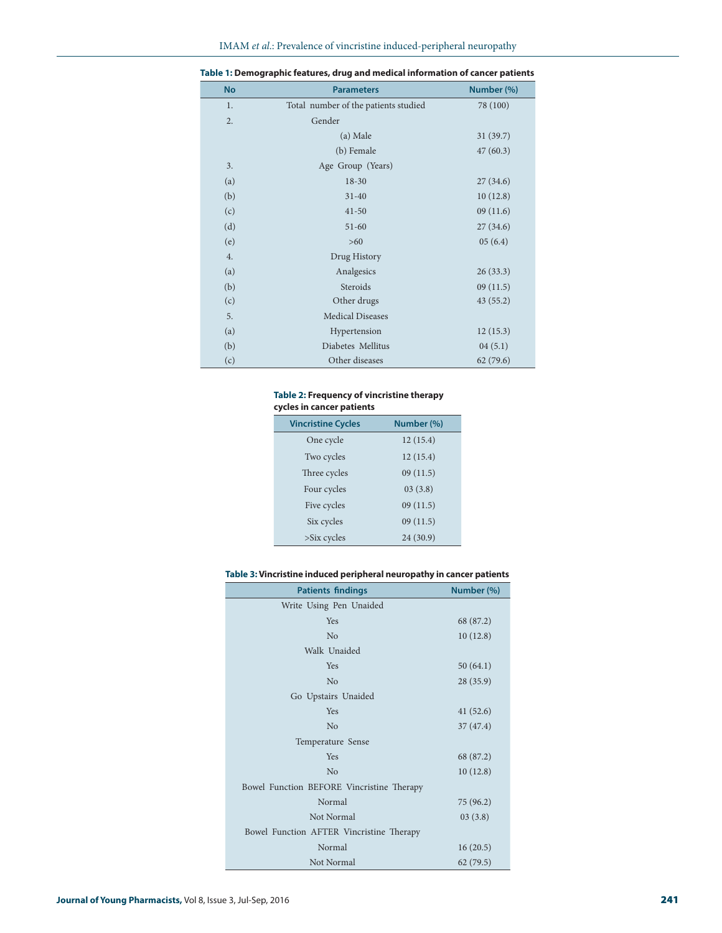| <b>No</b> | <b>Parameters</b>                    | Number (%) |
|-----------|--------------------------------------|------------|
| 1.        | Total number of the patients studied | 78 (100)   |
| 2.        | Gender                               |            |
|           | (a) Male                             | 31(39.7)   |
|           | (b) Female                           | 47(60.3)   |
| 3.        | Age Group (Years)                    |            |
| (a)       | $18 - 30$                            | 27(34.6)   |
| (b)       | $31 - 40$                            | 10(12.8)   |
| (c)       | $41 - 50$                            | 09(11.6)   |
| (d)       | $51 - 60$                            | 27(34.6)   |
| (e)       | $>60$                                | 05(6.4)    |
| 4.        | Drug History                         |            |
| (a)       | Analgesics                           | 26(33.3)   |
| (b)       | Steroids                             | 09(11.5)   |
| (c)       | Other drugs                          | 43(55.2)   |
| 5.        | <b>Medical Diseases</b>              |            |
| (a)       | Hypertension                         | 12(15.3)   |
| (b)       | Diabetes Mellitus                    | 04(5.1)    |
| (c)       | Other diseases                       | 62(79.6)   |

|  | Table 1: Demographic features, drug and medical information of cancer patients |  |
|--|--------------------------------------------------------------------------------|--|
|--|--------------------------------------------------------------------------------|--|

### **Table 2: Frequency of vincristine therapy cycles in cancer patients**

| <b>Vincristine Cycles</b> | Number (%) |
|---------------------------|------------|
| One cycle                 | 12(15.4)   |
| Two cycles                | 12(15.4)   |
| Three cycles              | 09(11.5)   |
| Four cycles               | 03(3.8)    |
| Five cycles               | 09(11.5)   |
| Six cycles                | 09(11.5)   |
| $>\s{S}$ ix cycles        | 24(30.9)   |

#### **Table 3: Vincristine induced peripheral neuropathy in cancer patients**

| <b>Patients findings</b>                  | Number (%) |  |  |  |
|-------------------------------------------|------------|--|--|--|
| Write Using Pen Unaided                   |            |  |  |  |
| <b>Yes</b>                                | 68 (87.2)  |  |  |  |
| N <sub>o</sub>                            | 10(12.8)   |  |  |  |
| Walk Unaided                              |            |  |  |  |
| Yes                                       | 50(64.1)   |  |  |  |
| No                                        | 28 (35.9)  |  |  |  |
| Go Upstairs Unaided                       |            |  |  |  |
| <b>Yes</b>                                | 41(52.6)   |  |  |  |
| No                                        | 37(47.4)   |  |  |  |
| Temperature Sense                         |            |  |  |  |
| <b>Yes</b>                                | 68 (87.2)  |  |  |  |
| No                                        | 10(12.8)   |  |  |  |
| Bowel Function BEFORE Vincristine Therapy |            |  |  |  |
| Normal                                    | 75 (96.2)  |  |  |  |
| Not Normal                                | 03(3.8)    |  |  |  |
| Bowel Function AFTER Vincristine Therapy  |            |  |  |  |
| Normal                                    | 16(20.5)   |  |  |  |
| Not Normal                                | 62(79.5)   |  |  |  |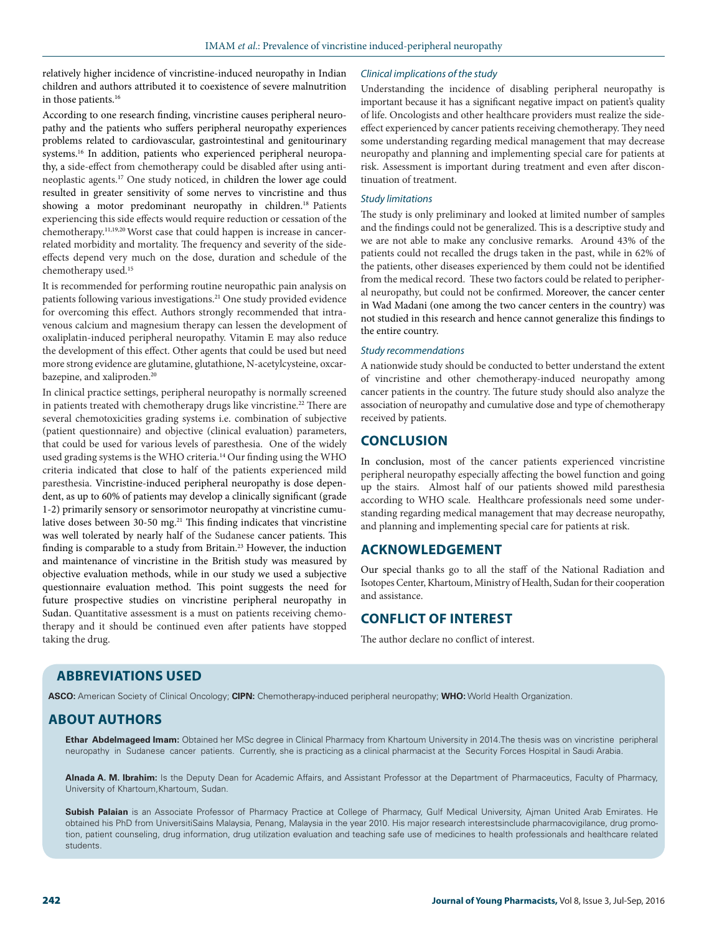relatively higher incidence of vincristine-induced neuropathy in Indian children and authors attributed it to coexistence of severe malnutrition in those patients.<sup>16</sup>

According to one research finding, vincristine causes peripheral neuropathy and the patients who suffers peripheral neuropathy experiences problems related to cardiovascular, gastrointestinal and genitourinary systems.16 In addition, patients who experienced peripheral neuropathy, a side-effect from chemotherapy could be disabled after using antineoplastic agents.<sup>17</sup> One study noticed, in children the lower age could resulted in greater sensitivity of some nerves to vincristine and thus showing a motor predominant neuropathy in children.<sup>18</sup> Patients experiencing this side effects would require reduction or cessation of the chemotherapy.<sup>11,19,20</sup> Worst case that could happen is increase in cancerrelated morbidity and mortality. The frequency and severity of the sideeffects depend very much on the dose, duration and schedule of the chemotherapy used.<sup>15</sup>

It is recommended for performing routine neuropathic pain analysis on patients following various investigations.<sup>21</sup> One study provided evidence for overcoming this effect. Authors strongly recommended that intravenous calcium and magnesium therapy can lessen the development of oxaliplatin-induced peripheral neuropathy. Vitamin E may also reduce the development of this effect. Other agents that could be used but need more strong evidence are glutamine, glutathione, N-acetylcysteine, oxcarbazepine, and xaliproden.<sup>20</sup>

In clinical practice settings, peripheral neuropathy is normally screened in patients treated with chemotherapy drugs like vincristine.<sup>22</sup> There are several chemotoxicities grading systems i.e. combination of subjective (patient questionnaire) and objective (clinical evaluation) parameters, that could be used for various levels of paresthesia. One of the widely used grading systems is the WHO criteria.<sup>14</sup> Our finding using the WHO criteria indicated that close to half of the patients experienced mild paresthesia. Vincristine-induced peripheral neuropathy is dose dependent, as up to 60% of patients may develop a clinically significant (grade 1-2) primarily sensory or sensorimotor neuropathy at vincristine cumulative doses between 30-50 mg.<sup>21</sup> This finding indicates that vincristine was well tolerated by nearly half of the Sudanese cancer patients. This finding is comparable to a study from Britain.<sup>23</sup> However, the induction and maintenance of vincristine in the British study was measured by objective evaluation methods, while in our study we used a subjective questionnaire evaluation method. This point suggests the need for future prospective studies on vincristine peripheral neuropathy in Sudan. Quantitative assessment is a must on patients receiving chemotherapy and it should be continued even after patients have stopped taking the drug.

#### Clinical implications of the study

Understanding the incidence of disabling peripheral neuropathy is important because it has a significant negative impact on patient's quality of life. Oncologists and other healthcare providers must realize the sideeffect experienced by cancer patients receiving chemotherapy. They need some understanding regarding medical management that may decrease neuropathy and planning and implementing special care for patients at risk. Assessment is important during treatment and even after discontinuation of treatment.

#### Study limitations

The study is only preliminary and looked at limited number of samples and the findings could not be generalized. This is a descriptive study and we are not able to make any conclusive remarks. Around 43% of the patients could not recalled the drugs taken in the past, while in 62% of the patients, other diseases experienced by them could not be identified from the medical record. These two factors could be related to peripheral neuropathy, but could not be confirmed. Moreover, the cancer center in Wad Madani (one among the two cancer centers in the country) was not studied in this research and hence cannot generalize this findings to the entire country.

#### Study recommendations

A nationwide study should be conducted to better understand the extent of vincristine and other chemotherapy-induced neuropathy among cancer patients in the country. The future study should also analyze the association of neuropathy and cumulative dose and type of chemotherapy received by patients.

## **CONCLUSION**

In conclusion, most of the cancer patients experienced vincristine peripheral neuropathy especially affecting the bowel function and going up the stairs. Almost half of our patients showed mild paresthesia according to WHO scale. Healthcare professionals need some understanding regarding medical management that may decrease neuropathy, and planning and implementing special care for patients at risk.

## **ACKNOWLEDGEMENT**

Our special thanks go to all the staff of the National Radiation and Isotopes Center, Khartoum, Ministry of Health, Sudan for their cooperation and assistance.

# **CONFLICT OF INTEREST**

The author declare no conflict of interest.

## **ABBREVIATIONS USED**

**ASCO:** American Society of Clinical Oncology; **CIPN:** Chemotherapy-induced peripheral neuropathy; **WHO:** World Health Organization.

## **ABOUT AUTHORS**

**Ethar Abdelmageed Imam:** Obtained her MSc degree in Clinical Pharmacy from Khartoum University in 2014.The thesis was on vincristine peripheral neuropathy in Sudanese cancer patients. Currently, she is practicing as a clinical pharmacist at the Security Forces Hospital in Saudi Arabia.

**Alnada A. M. Ibrahim:** Is the Deputy Dean for Academic Affairs, and Assistant Professor at the Department of Pharmaceutics, Faculty of Pharmacy, University of Khartoum,Khartoum, Sudan.

**Subish Palaian** is an Associate Professor of Pharmacy Practice at College of Pharmacy, Gulf Medical University, Ajman United Arab Emirates. He obtained his PhD from UniversitiSains Malaysia, Penang, Malaysia in the year 2010. His major research interestsinclude pharmacovigilance, drug promotion, patient counseling, drug information, drug utilization evaluation and teaching safe use of medicines to health professionals and healthcare related students.